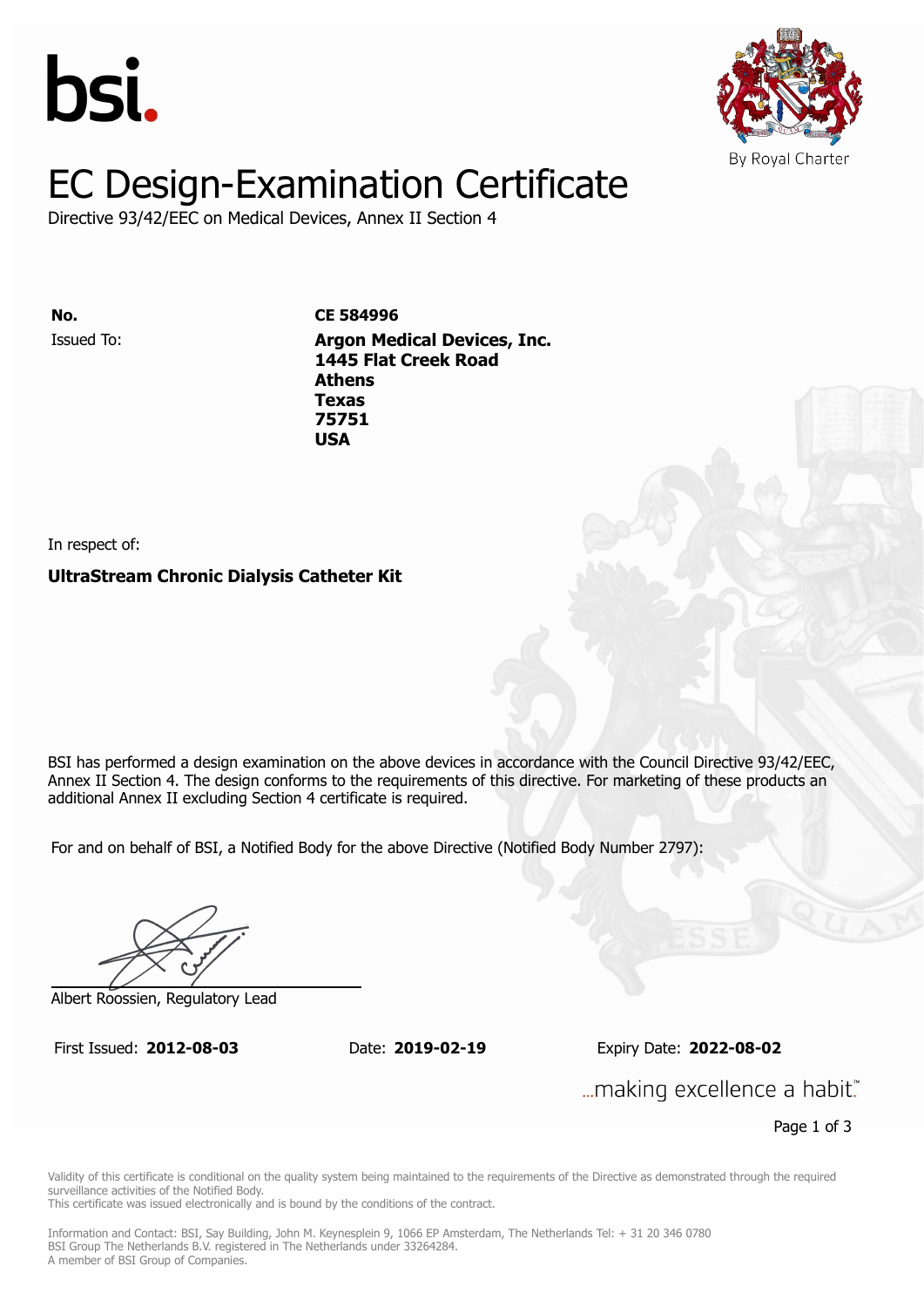



# EC Design-Examination Certificate

Directive 93/42/EEC on Medical Devices, Annex II Section 4

Issued To: **Argon Medical Devices, Inc. No. CE 584996 1445 Flat Creek Road Athens** Issued To: **Argon Medical Devices, Inc. Texas 1445 Flat Creek Road 75751 Athens Texas 75751 USA**

In respect of:

**UltraStream Chronic Dialysis Catheter Kit**

BSI has performed a design examination on the above devices in accordance with the Council Directive 93/42/EEC, Annex II Section 4. The design conforms to the requirements of this directive. For marketing of these products an additional Annex II excluding Section 4 certificate is required.

For and on behalf of BSI, a Notified Body for the above Directive (Notified Body Number 2797):

Albert Roossien, Regulatory Lead

First Issued: **2012-08-03** Date: **2019-02-19** Expiry Date: **2022-08-02** First Issued: **2012-08-03** Date: **2019-02-19** Expiry Date: **2022-08-02**

... making excellence a habit."

Page 1 of 3

Validity of this certificate is conditional on the quality system being maintained to the requirements of the Directive as demonstrated through the required surveillance activities of the Notified Body.

This certificate was issued electronically and is bound by the conditions of the contract.

Information and Contact: BSI, Say Building, John M. Keynesplein 9, 1066 EP Amsterdam, The Netherlands Tel: + 31 20 346 0780 BSI Group The Netherlands B.V. registered in The Netherlands under 33264284. A member of BSI Group of Companies.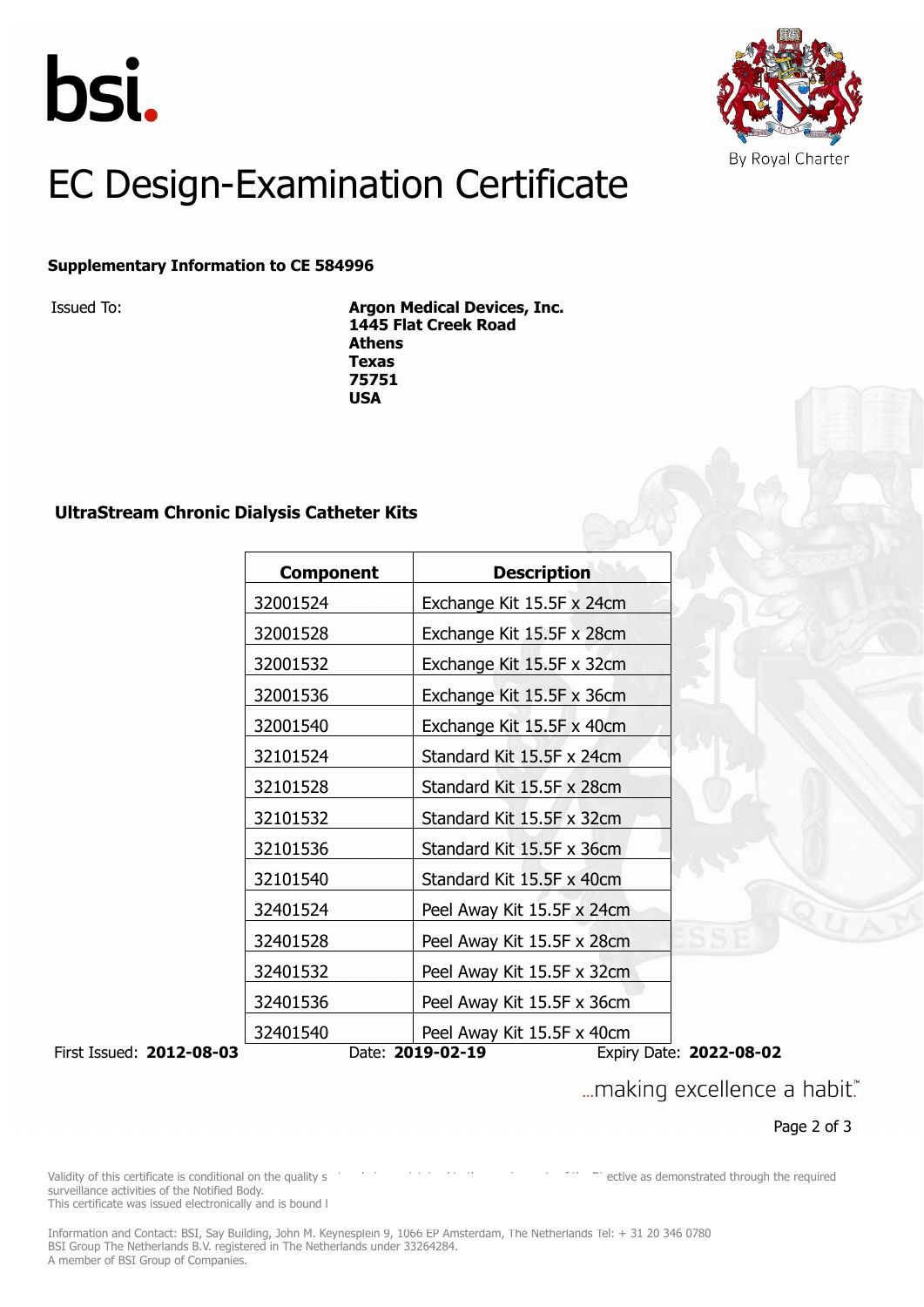



## EC Design-Examination Certificate

#### **Supplementary Information to CE 584996**

Issued To: **Argon Medical Devices, Inc. 1445 Flat Creek Road Athens Texas 75751 USA**

### **UltraStream Chronic Dialysis Catheter Kits**

|                                        | <b>Component</b>                      | <b>Description</b>         |                           |  |
|----------------------------------------|---------------------------------------|----------------------------|---------------------------|--|
|                                        | 32001524                              | Exchange Kit 15.5F x 24cm  |                           |  |
| 32001528<br>Exchange Kit 15.5F x 28cm  |                                       |                            |                           |  |
|                                        | 32001532                              | Exchange Kit 15.5F x 32cm  |                           |  |
|                                        | 32001536                              | Exchange Kit 15.5F x 36cm  |                           |  |
|                                        | 32001540                              | Exchange Kit 15.5F x 40cm  |                           |  |
|                                        | 32101524                              | Standard Kit 15.5F x 24cm  |                           |  |
|                                        | 32101528                              | Standard Kit 15.5F x 28cm  |                           |  |
| 32101532                               |                                       |                            | Standard Kit 15.5F x 32cm |  |
| 32101536                               |                                       | Standard Kit 15.5F x 36cm  |                           |  |
|                                        | 32101540<br>Standard Kit 15.5F x 40cm |                            |                           |  |
| 32401524<br>Peel Away Kit 15.5F x 24cm |                                       |                            |                           |  |
|                                        | 32401528                              | Peel Away Kit 15.5F x 28cm |                           |  |
|                                        | 32401532                              | Peel Away Kit 15.5F x 32cm |                           |  |
|                                        | 32401536                              | Peel Away Kit 15.5F x 36cm |                           |  |
|                                        | 32401540                              | Peel Away Kit 15.5F x 40cm |                           |  |
| First Issued: 2012-08-03               |                                       | Date: 2019-02-19           | Expiry Date: 2022-08-02   |  |

... making excellence a habit."

Page 2 of 3

Validity of this certificate is conditional on the quality system being mathematic mathematic mathematic mathematic mathematic mathematic mathematic mathematic mathematic mathematic mathematic mathematic mathematic mathema surveillance activities of the Notified Body. This certificate was issued electronically and is bound by the contract.

Information and Contact: BSI, Say Building, John M. Keynesplein 9, 1066 EP Amsterdam, The Netherlands Tel: + 31 20 346 0780 BSI Group The Netherlands B.V. registered in The Netherlands under 33264284. A member of BSI Group of Companies.